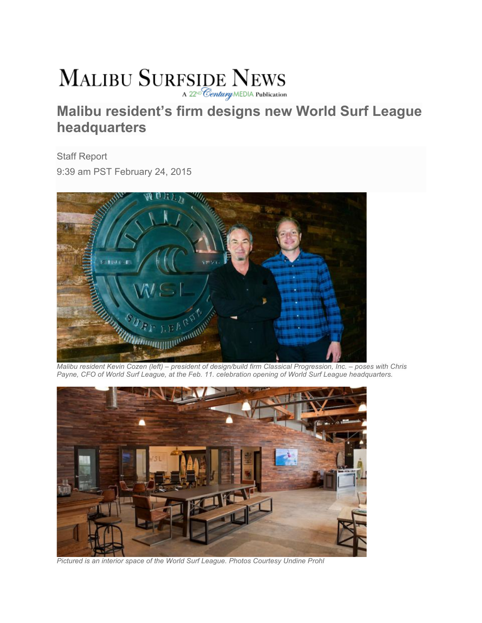## **MALIBU SURFSIDE NEWS** A 22<sup>th</sup> Century MEDIA Publication

## **Malibu resident's firm designs new World Surf League headquarters**

Staff Report 9:39 am PST February 24, 2015



*Malibu resident Kevin Cozen (left) – president of design/build firm Classical Progression, Inc. – poses with Chris Payne, CFO of World Surf League, at the Feb. 11. celebration opening of World Surf League headquarters.* 



*Pictured is an interior space of the World Surf League. Photos Courtesy Undine Prohl*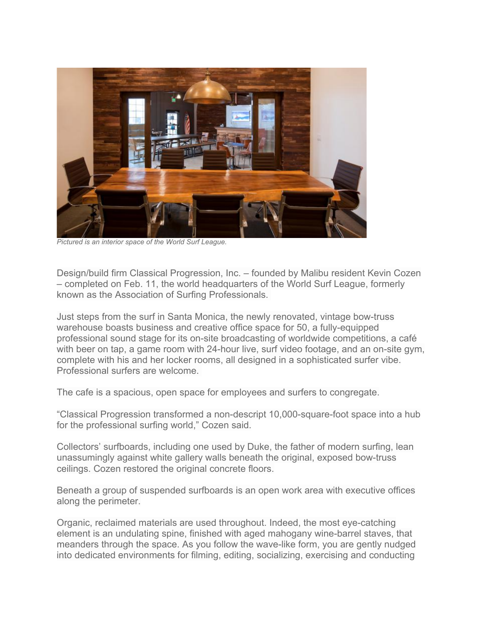

*Pictured is an interior space of the World Surf League.*

Design/build firm Classical Progression, Inc. – founded by Malibu resident Kevin Cozen – completed on Feb. 11, the world headquarters of the World Surf League, formerly known as the Association of Surfing Professionals.

Just steps from the surf in Santa Monica, the newly renovated, vintage bow-truss warehouse boasts business and creative office space for 50, a fully-equipped professional sound stage for its on-site broadcasting of worldwide competitions, a café with beer on tap, a game room with 24-hour live, surf video footage, and an on-site gym, complete with his and her locker rooms, all designed in a sophisticated surfer vibe. Professional surfers are welcome.

The cafe is a spacious, open space for employees and surfers to congregate.

"Classical Progression transformed a non-descript 10,000-square-foot space into a hub for the professional surfing world," Cozen said.

Collectors' surfboards, including one used by Duke, the father of modern surfing, lean unassumingly against white gallery walls beneath the original, exposed bow-truss ceilings. Cozen restored the original concrete floors.

Beneath a group of suspended surfboards is an open work area with executive offices along the perimeter.

Organic, reclaimed materials are used throughout. Indeed, the most eye-catching element is an undulating spine, finished with aged mahogany wine-barrel staves, that meanders through the space. As you follow the wave-like form, you are gently nudged into dedicated environments for filming, editing, socializing, exercising and conducting